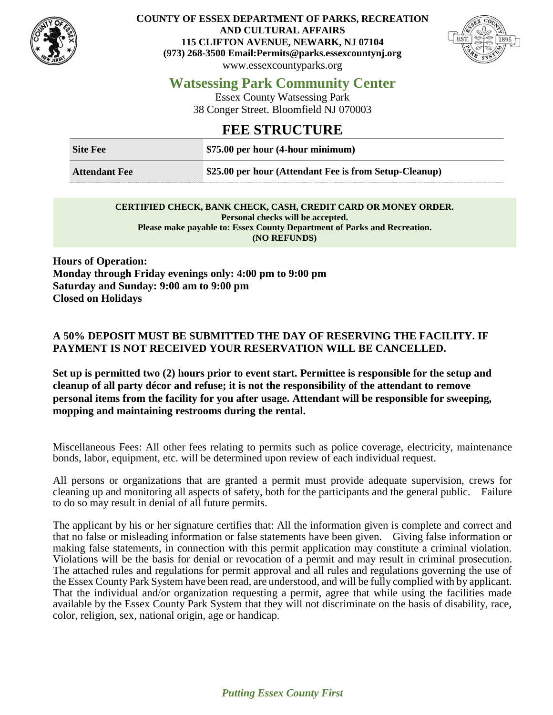

**COUNTY OF ESSEX DEPARTMENT OF PARKS, RECREATION AND CULTURAL AFFAIRS 115 CLIFTON AVENUE, NEWARK, NJ 07104 (973) 268-3500 Email:Permits@parks.essexcountynj.org** www.essexcountyparks.org



## **Watsessing Park Community Center**

Essex County Watsessing Park 38 Conger Street. Bloomfield NJ 070003

## **FEE STRUCTURE**

| <b>Site Fee</b>      | $\frac{1}{2}$ \$75.00 per hour (4-hour minimum)        |
|----------------------|--------------------------------------------------------|
| <b>Attendant Fee</b> | \$25.00 per hour (Attendant Fee is from Setup-Cleanup) |

#### **CERTIFIED CHECK, BANK CHECK, CASH, CREDIT CARD OR MONEY ORDER. Personal checks will be accepted. Please make payable to: Essex County Department of Parks and Recreation. (NO REFUNDS)**

**Hours of Operation: Monday through Friday evenings only: 4:00 pm to 9:00 pm Saturday and Sunday: 9:00 am to 9:00 pm Closed on Holidays**

#### **A 50% DEPOSIT MUST BE SUBMITTED THE DAY OF RESERVING THE FACILITY. IF PAYMENT IS NOT RECEIVED YOUR RESERVATION WILL BE CANCELLED.**

**Set up is permitted two (2) hours prior to event start. Permittee is responsible for the setup and cleanup of all party décor and refuse; it is not the responsibility of the attendant to remove personal items from the facility for you after usage. Attendant will be responsible for sweeping, mopping and maintaining restrooms during the rental.**

Miscellaneous Fees: All other fees relating to permits such as police coverage, electricity, maintenance bonds, labor, equipment, etc. will be determined upon review of each individual request.

All persons or organizations that are granted a permit must provide adequate supervision, crews for cleaning up and monitoring all aspects of safety, both for the participants and the general public. Failure to do so may result in denial of all future permits.

The applicant by his or her signature certifies that: All the information given is complete and correct and that no false or misleading information or false statements have been given. Giving false information or making false statements, in connection with this permit application may constitute a criminal violation. Violations will be the basis for denial or revocation of a permit and may result in criminal prosecution. The attached rules and regulations for permit approval and all rules and regulations governing the use of the Essex County Park System have been read, are understood, and will be fully complied with by applicant. That the individual and/or organization requesting a permit, agree that while using the facilities made available by the Essex County Park System that they will not discriminate on the basis of disability, race, color, religion, sex, national origin, age or handicap.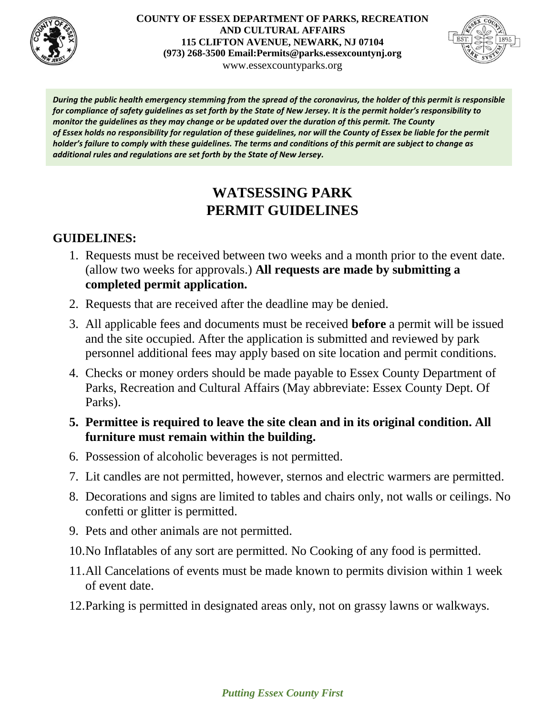

#### **COUNTY OF ESSEX DEPARTMENT OF PARKS, RECREATION AND CULTURAL AFFAIRS 115 CLIFTON AVENUE, NEWARK, NJ 07104 (973) 268-3500 Email:Permits@parks.essexcountynj.org** www.essexcountyparks.org



*During the public health emergency stemming from the spread of the coronavirus, the holder of this permit is responsible for compliance of safety guidelines as set forth by the State of New Jersey. It is the permit holder's responsibility to monitor the guidelines as they may change or be updated over the duration of this permit. The County of Essex holds no responsibility for regulation of these guidelines, nor will the County of Essex be liable for the permit holder's failure to comply with these guidelines. The terms and conditions of this permit are subject to change as additional rules and regulations are set forth by the State of New Jersey.*

# **WATSESSING PARK PERMIT GUIDELINES**

## **GUIDELINES:**

- 1. Requests must be received between two weeks and a month prior to the event date. (allow two weeks for approvals.) **All requests are made by submitting a completed permit application.**
- 2. Requests that are received after the deadline may be denied.
- 3. All applicable fees and documents must be received **before** a permit will be issued and the site occupied. After the application is submitted and reviewed by park personnel additional fees may apply based on site location and permit conditions.
- 4. Checks or money orders should be made payable to Essex County Department of Parks, Recreation and Cultural Affairs (May abbreviate: Essex County Dept. Of Parks).

### **5. Permittee is required to leave the site clean and in its original condition. All furniture must remain within the building.**

- 6. Possession of alcoholic beverages is not permitted.
- 7. Lit candles are not permitted, however, sternos and electric warmers are permitted.
- 8. Decorations and signs are limited to tables and chairs only, not walls or ceilings. No confetti or glitter is permitted.
- 9. Pets and other animals are not permitted.
- 10.No Inflatables of any sort are permitted. No Cooking of any food is permitted.
- 11.All Cancelations of events must be made known to permits division within 1 week of event date.
- 12.Parking is permitted in designated areas only, not on grassy lawns or walkways.

### *Putting Essex County First*